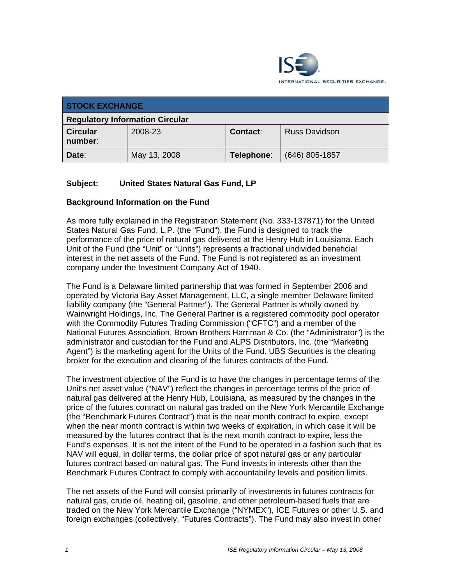

| <b>STOCK EXCHANGE</b>                  |              |                 |                      |
|----------------------------------------|--------------|-----------------|----------------------|
| <b>Regulatory Information Circular</b> |              |                 |                      |
| <b>Circular</b><br>number:             | 2008-23      | <b>Contact:</b> | <b>Russ Davidson</b> |
| Date:                                  | May 13, 2008 | Telephone:      | (646) 805-1857       |

## **Subject: United States Natural Gas Fund, LP**

### **Background Information on the Fund**

As more fully explained in the Registration Statement (No. 333-137871) for the United States Natural Gas Fund, L.P. (the "Fund"), the Fund is designed to track the performance of the price of natural gas delivered at the Henry Hub in Louisiana. Each Unit of the Fund (the "Unit" or "Units") represents a fractional undivided beneficial interest in the net assets of the Fund. The Fund is not registered as an investment company under the Investment Company Act of 1940.

The Fund is a Delaware limited partnership that was formed in September 2006 and operated by Victoria Bay Asset Management, LLC, a single member Delaware limited liability company (the "General Partner"). The General Partner is wholly owned by Wainwright Holdings, Inc. The General Partner is a registered commodity pool operator with the Commodity Futures Trading Commission ("CFTC") and a member of the National Futures Association. Brown Brothers Harriman & Co. (the "Administrator") is the administrator and custodian for the Fund and ALPS Distributors, Inc. (the "Marketing Agent") is the marketing agent for the Units of the Fund. UBS Securities is the clearing broker for the execution and clearing of the futures contracts of the Fund.

The investment objective of the Fund is to have the changes in percentage terms of the Unit's net asset value ("NAV") reflect the changes in percentage terms of the price of natural gas delivered at the Henry Hub, Louisiana, as measured by the changes in the price of the futures contract on natural gas traded on the New York Mercantile Exchange (the "Benchmark Futures Contract") that is the near month contract to expire, except when the near month contract is within two weeks of expiration, in which case it will be measured by the futures contract that is the next month contract to expire, less the Fund's expenses. It is not the intent of the Fund to be operated in a fashion such that its NAV will equal, in dollar terms, the dollar price of spot natural gas or any particular futures contract based on natural gas. The Fund invests in interests other than the Benchmark Futures Contract to comply with accountability levels and position limits.

The net assets of the Fund will consist primarily of investments in futures contracts for natural gas, crude oil, heating oil, gasoline, and other petroleum-based fuels that are traded on the New York Mercantile Exchange ("NYMEX"), ICE Futures or other U.S. and foreign exchanges (collectively, "Futures Contracts"). The Fund may also invest in other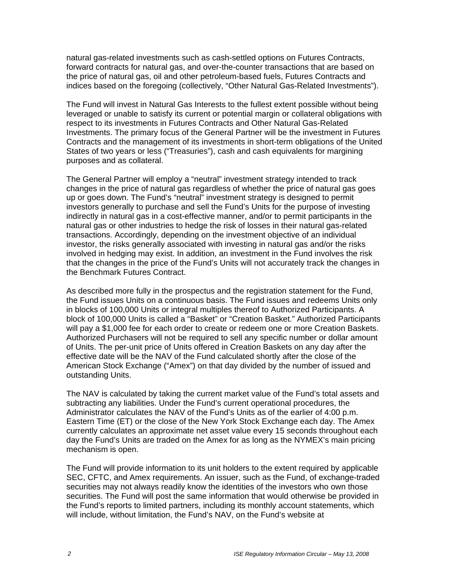natural gas-related investments such as cash-settled options on Futures Contracts, forward contracts for natural gas, and over-the-counter transactions that are based on the price of natural gas, oil and other petroleum-based fuels, Futures Contracts and indices based on the foregoing (collectively, "Other Natural Gas-Related Investments").

The Fund will invest in Natural Gas Interests to the fullest extent possible without being leveraged or unable to satisfy its current or potential margin or collateral obligations with respect to its investments in Futures Contracts and Other Natural Gas-Related Investments. The primary focus of the General Partner will be the investment in Futures Contracts and the management of its investments in short-term obligations of the United States of two years or less ("Treasuries"), cash and cash equivalents for margining purposes and as collateral.

The General Partner will employ a "neutral" investment strategy intended to track changes in the price of natural gas regardless of whether the price of natural gas goes up or goes down. The Fund's "neutral" investment strategy is designed to permit investors generally to purchase and sell the Fund's Units for the purpose of investing indirectly in natural gas in a cost-effective manner, and/or to permit participants in the natural gas or other industries to hedge the risk of losses in their natural gas-related transactions. Accordingly, depending on the investment objective of an individual investor, the risks generally associated with investing in natural gas and/or the risks involved in hedging may exist. In addition, an investment in the Fund involves the risk that the changes in the price of the Fund's Units will not accurately track the changes in the Benchmark Futures Contract.

As described more fully in the prospectus and the registration statement for the Fund, the Fund issues Units on a continuous basis. The Fund issues and redeems Units only in blocks of 100,000 Units or integral multiples thereof to Authorized Participants. A block of 100,000 Units is called a "Basket" or "Creation Basket." Authorized Participants will pay a \$1,000 fee for each order to create or redeem one or more Creation Baskets. Authorized Purchasers will not be required to sell any specific number or dollar amount of Units. The per-unit price of Units offered in Creation Baskets on any day after the effective date will be the NAV of the Fund calculated shortly after the close of the American Stock Exchange ("Amex") on that day divided by the number of issued and outstanding Units.

The NAV is calculated by taking the current market value of the Fund's total assets and subtracting any liabilities. Under the Fund's current operational procedures, the Administrator calculates the NAV of the Fund's Units as of the earlier of 4:00 p.m. Eastern Time (ET) or the close of the New York Stock Exchange each day. The Amex currently calculates an approximate net asset value every 15 seconds throughout each day the Fund's Units are traded on the Amex for as long as the NYMEX's main pricing mechanism is open.

The Fund will provide information to its unit holders to the extent required by applicable SEC, CFTC, and Amex requirements. An issuer, such as the Fund, of exchange-traded securities may not always readily know the identities of the investors who own those securities. The Fund will post the same information that would otherwise be provided in the Fund's reports to limited partners, including its monthly account statements, which will include, without limitation, the Fund's NAV, on the Fund's website at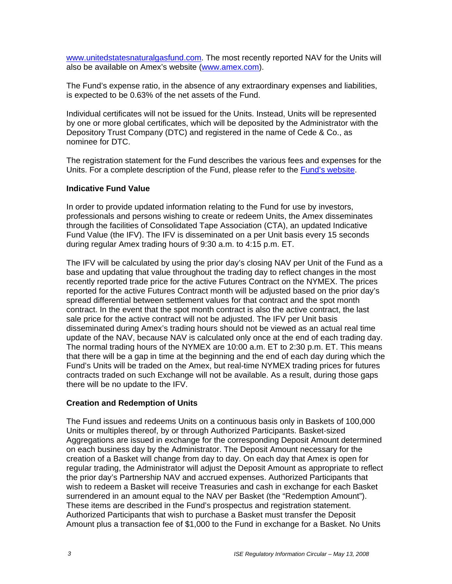www.unitedstatesnaturalgasfund.com. The most recently reported NAV for the Units will also be available on Amex's website (www.amex.com).

The Fund's expense ratio, in the absence of any extraordinary expenses and liabilities, is expected to be 0.63% of the net assets of the Fund.

Individual certificates will not be issued for the Units. Instead, Units will be represented by one or more global certificates, which will be deposited by the Administrator with the Depository Trust Company (DTC) and registered in the name of Cede & Co., as nominee for DTC.

The registration statement for the Fund describes the various fees and expenses for the Units. For a complete description of the Fund, please refer to the Fund's website.

#### **Indicative Fund Value**

In order to provide updated information relating to the Fund for use by investors, professionals and persons wishing to create or redeem Units, the Amex disseminates through the facilities of Consolidated Tape Association (CTA), an updated Indicative Fund Value (the IFV). The IFV is disseminated on a per Unit basis every 15 seconds during regular Amex trading hours of 9:30 a.m. to 4:15 p.m. ET.

The IFV will be calculated by using the prior day's closing NAV per Unit of the Fund as a base and updating that value throughout the trading day to reflect changes in the most recently reported trade price for the active Futures Contract on the NYMEX. The prices reported for the active Futures Contract month will be adjusted based on the prior day's spread differential between settlement values for that contract and the spot month contract. In the event that the spot month contract is also the active contract, the last sale price for the active contract will not be adjusted. The IFV per Unit basis disseminated during Amex's trading hours should not be viewed as an actual real time update of the NAV, because NAV is calculated only once at the end of each trading day. The normal trading hours of the NYMEX are 10:00 a.m. ET to 2:30 p.m. ET. This means that there will be a gap in time at the beginning and the end of each day during which the Fund's Units will be traded on the Amex, but real-time NYMEX trading prices for futures contracts traded on such Exchange will not be available. As a result, during those gaps there will be no update to the IFV.

### **Creation and Redemption of Units**

The Fund issues and redeems Units on a continuous basis only in Baskets of 100,000 Units or multiples thereof, by or through Authorized Participants. Basket-sized Aggregations are issued in exchange for the corresponding Deposit Amount determined on each business day by the Administrator. The Deposit Amount necessary for the creation of a Basket will change from day to day. On each day that Amex is open for regular trading, the Administrator will adjust the Deposit Amount as appropriate to reflect the prior day's Partnership NAV and accrued expenses. Authorized Participants that wish to redeem a Basket will receive Treasuries and cash in exchange for each Basket surrendered in an amount equal to the NAV per Basket (the "Redemption Amount"). These items are described in the Fund's prospectus and registration statement. Authorized Participants that wish to purchase a Basket must transfer the Deposit Amount plus a transaction fee of \$1,000 to the Fund in exchange for a Basket. No Units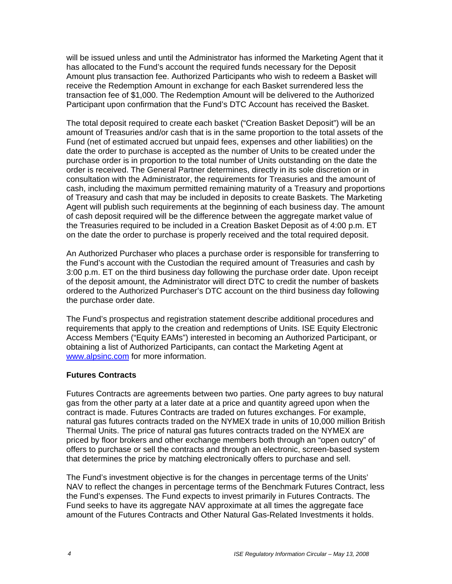will be issued unless and until the Administrator has informed the Marketing Agent that it has allocated to the Fund's account the required funds necessary for the Deposit Amount plus transaction fee. Authorized Participants who wish to redeem a Basket will receive the Redemption Amount in exchange for each Basket surrendered less the transaction fee of \$1,000. The Redemption Amount will be delivered to the Authorized Participant upon confirmation that the Fund's DTC Account has received the Basket.

The total deposit required to create each basket ("Creation Basket Deposit") will be an amount of Treasuries and/or cash that is in the same proportion to the total assets of the Fund (net of estimated accrued but unpaid fees, expenses and other liabilities) on the date the order to purchase is accepted as the number of Units to be created under the purchase order is in proportion to the total number of Units outstanding on the date the order is received. The General Partner determines, directly in its sole discretion or in consultation with the Administrator, the requirements for Treasuries and the amount of cash, including the maximum permitted remaining maturity of a Treasury and proportions of Treasury and cash that may be included in deposits to create Baskets. The Marketing Agent will publish such requirements at the beginning of each business day. The amount of cash deposit required will be the difference between the aggregate market value of the Treasuries required to be included in a Creation Basket Deposit as of 4:00 p.m. ET on the date the order to purchase is properly received and the total required deposit.

An Authorized Purchaser who places a purchase order is responsible for transferring to the Fund's account with the Custodian the required amount of Treasuries and cash by 3:00 p.m. ET on the third business day following the purchase order date. Upon receipt of the deposit amount, the Administrator will direct DTC to credit the number of baskets ordered to the Authorized Purchaser's DTC account on the third business day following the purchase order date.

The Fund's prospectus and registration statement describe additional procedures and requirements that apply to the creation and redemptions of Units. ISE Equity Electronic Access Members ("Equity EAMs") interested in becoming an Authorized Participant, or obtaining a list of Authorized Participants, can contact the Marketing Agent at www.alpsinc.com for more information.

### **Futures Contracts**

Futures Contracts are agreements between two parties. One party agrees to buy natural gas from the other party at a later date at a price and quantity agreed upon when the contract is made. Futures Contracts are traded on futures exchanges. For example, natural gas futures contracts traded on the NYMEX trade in units of 10,000 million British Thermal Units. The price of natural gas futures contracts traded on the NYMEX are priced by floor brokers and other exchange members both through an "open outcry" of offers to purchase or sell the contracts and through an electronic, screen-based system that determines the price by matching electronically offers to purchase and sell.

The Fund's investment objective is for the changes in percentage terms of the Units' NAV to reflect the changes in percentage terms of the Benchmark Futures Contract, less the Fund's expenses. The Fund expects to invest primarily in Futures Contracts. The Fund seeks to have its aggregate NAV approximate at all times the aggregate face amount of the Futures Contracts and Other Natural Gas-Related Investments it holds.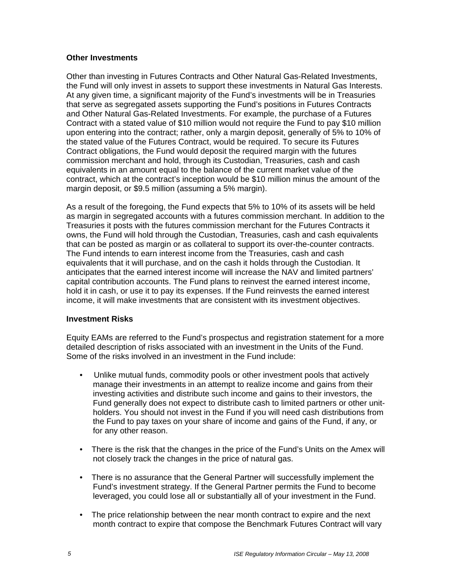#### **Other Investments**

Other than investing in Futures Contracts and Other Natural Gas-Related Investments, the Fund will only invest in assets to support these investments in Natural Gas Interests. At any given time, a significant majority of the Fund's investments will be in Treasuries that serve as segregated assets supporting the Fund's positions in Futures Contracts and Other Natural Gas-Related Investments. For example, the purchase of a Futures Contract with a stated value of \$10 million would not require the Fund to pay \$10 million upon entering into the contract; rather, only a margin deposit, generally of 5% to 10% of the stated value of the Futures Contract, would be required. To secure its Futures Contract obligations, the Fund would deposit the required margin with the futures commission merchant and hold, through its Custodian, Treasuries, cash and cash equivalents in an amount equal to the balance of the current market value of the contract, which at the contract's inception would be \$10 million minus the amount of the margin deposit, or \$9.5 million (assuming a 5% margin).

As a result of the foregoing, the Fund expects that 5% to 10% of its assets will be held as margin in segregated accounts with a futures commission merchant. In addition to the Treasuries it posts with the futures commission merchant for the Futures Contracts it owns, the Fund will hold through the Custodian, Treasuries, cash and cash equivalents that can be posted as margin or as collateral to support its over-the-counter contracts. The Fund intends to earn interest income from the Treasuries, cash and cash equivalents that it will purchase, and on the cash it holds through the Custodian. It anticipates that the earned interest income will increase the NAV and limited partners' capital contribution accounts. The Fund plans to reinvest the earned interest income, hold it in cash, or use it to pay its expenses. If the Fund reinvests the earned interest income, it will make investments that are consistent with its investment objectives.

#### **Investment Risks**

Equity EAMs are referred to the Fund's prospectus and registration statement for a more detailed description of risks associated with an investment in the Units of the Fund. Some of the risks involved in an investment in the Fund include:

- Unlike mutual funds, commodity pools or other investment pools that actively manage their investments in an attempt to realize income and gains from their investing activities and distribute such income and gains to their investors, the Fund generally does not expect to distribute cash to limited partners or other unitholders. You should not invest in the Fund if you will need cash distributions from the Fund to pay taxes on your share of income and gains of the Fund, if any, or for any other reason.
- There is the risk that the changes in the price of the Fund's Units on the Amex will not closely track the changes in the price of natural gas.
- There is no assurance that the General Partner will successfully implement the Fund's investment strategy. If the General Partner permits the Fund to become leveraged, you could lose all or substantially all of your investment in the Fund.
- The price relationship between the near month contract to expire and the next month contract to expire that compose the Benchmark Futures Contract will vary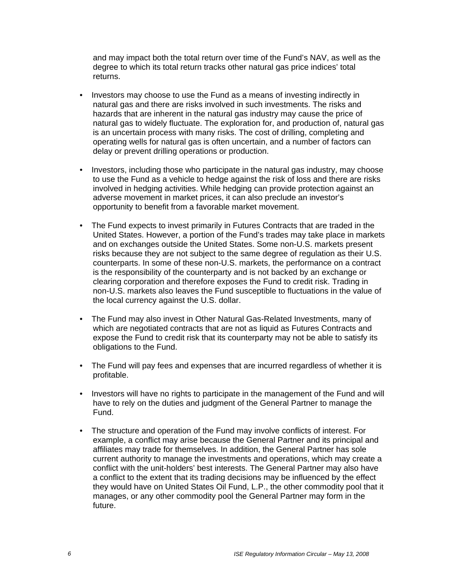and may impact both the total return over time of the Fund's NAV, as well as the degree to which its total return tracks other natural gas price indices' total returns.

- Investors may choose to use the Fund as a means of investing indirectly in natural gas and there are risks involved in such investments. The risks and hazards that are inherent in the natural gas industry may cause the price of natural gas to widely fluctuate. The exploration for, and production of, natural gas is an uncertain process with many risks. The cost of drilling, completing and operating wells for natural gas is often uncertain, and a number of factors can delay or prevent drilling operations or production.
- Investors, including those who participate in the natural gas industry, may choose to use the Fund as a vehicle to hedge against the risk of loss and there are risks involved in hedging activities. While hedging can provide protection against an adverse movement in market prices, it can also preclude an investor's opportunity to benefit from a favorable market movement.
- The Fund expects to invest primarily in Futures Contracts that are traded in the United States. However, a portion of the Fund's trades may take place in markets and on exchanges outside the United States. Some non-U.S. markets present risks because they are not subject to the same degree of regulation as their U.S. counterparts. In some of these non-U.S. markets, the performance on a contract is the responsibility of the counterparty and is not backed by an exchange or clearing corporation and therefore exposes the Fund to credit risk. Trading in non-U.S. markets also leaves the Fund susceptible to fluctuations in the value of the local currency against the U.S. dollar.
- The Fund may also invest in Other Natural Gas-Related Investments, many of which are negotiated contracts that are not as liquid as Futures Contracts and expose the Fund to credit risk that its counterparty may not be able to satisfy its obligations to the Fund.
- The Fund will pay fees and expenses that are incurred regardless of whether it is profitable.
- Investors will have no rights to participate in the management of the Fund and will have to rely on the duties and judgment of the General Partner to manage the Fund.
- The structure and operation of the Fund may involve conflicts of interest. For example, a conflict may arise because the General Partner and its principal and affiliates may trade for themselves. In addition, the General Partner has sole current authority to manage the investments and operations, which may create a conflict with the unit-holders' best interests. The General Partner may also have a conflict to the extent that its trading decisions may be influenced by the effect they would have on United States Oil Fund, L.P., the other commodity pool that it manages, or any other commodity pool the General Partner may form in the future.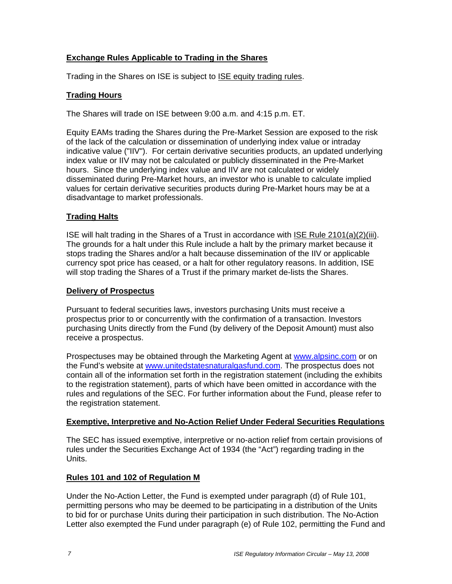# **Exchange Rules Applicable to Trading in the Shares**

Trading in the Shares on ISE is subject to **ISE equity trading rules**.

# **Trading Hours**

The Shares will trade on ISE between 9:00 a.m. and 4:15 p.m. ET.

Equity EAMs trading the Shares during the Pre-Market Session are exposed to the risk of the lack of the calculation or dissemination of underlying index value or intraday indicative value ("IIV"). For certain derivative securities products, an updated underlying index value or IIV may not be calculated or publicly disseminated in the Pre-Market hours. Since the underlying index value and IIV are not calculated or widely disseminated during Pre-Market hours, an investor who is unable to calculate implied values for certain derivative securities products during Pre-Market hours may be at a disadvantage to market professionals.

# **Trading Halts**

ISE will halt trading in the Shares of a Trust in accordance with ISE Rule 2101(a)(2)(iii). The grounds for a halt under this Rule include a halt by the primary market because it stops trading the Shares and/or a halt because dissemination of the IIV or applicable currency spot price has ceased, or a halt for other regulatory reasons. In addition, ISE will stop trading the Shares of a Trust if the primary market de-lists the Shares.

#### **Delivery of Prospectus**

Pursuant to federal securities laws, investors purchasing Units must receive a prospectus prior to or concurrently with the confirmation of a transaction. Investors purchasing Units directly from the Fund (by delivery of the Deposit Amount) must also receive a prospectus.

Prospectuses may be obtained through the Marketing Agent at www.alpsinc.com or on the Fund's website at www.unitedstatesnaturalgasfund.com. The prospectus does not contain all of the information set forth in the registration statement (including the exhibits to the registration statement), parts of which have been omitted in accordance with the rules and regulations of the SEC. For further information about the Fund, please refer to the registration statement.

### **Exemptive, Interpretive and No-Action Relief Under Federal Securities Regulations**

The SEC has issued exemptive, interpretive or no-action relief from certain provisions of rules under the Securities Exchange Act of 1934 (the "Act") regarding trading in the Units.

### **Rules 101 and 102 of Regulation M**

Under the No-Action Letter, the Fund is exempted under paragraph (d) of Rule 101, permitting persons who may be deemed to be participating in a distribution of the Units to bid for or purchase Units during their participation in such distribution. The No-Action Letter also exempted the Fund under paragraph (e) of Rule 102, permitting the Fund and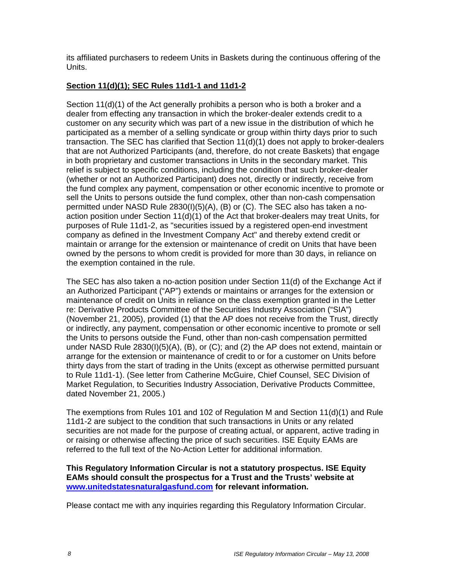its affiliated purchasers to redeem Units in Baskets during the continuous offering of the Units.

# **Section 11(d)(1); SEC Rules 11d1-1 and 11d1-2**

Section 11(d)(1) of the Act generally prohibits a person who is both a broker and a dealer from effecting any transaction in which the broker-dealer extends credit to a customer on any security which was part of a new issue in the distribution of which he participated as a member of a selling syndicate or group within thirty days prior to such transaction. The SEC has clarified that Section 11(d)(1) does not apply to broker-dealers that are not Authorized Participants (and, therefore, do not create Baskets) that engage in both proprietary and customer transactions in Units in the secondary market. This relief is subject to specific conditions, including the condition that such broker-dealer (whether or not an Authorized Participant) does not, directly or indirectly, receive from the fund complex any payment, compensation or other economic incentive to promote or sell the Units to persons outside the fund complex, other than non-cash compensation permitted under NASD Rule 2830(I)(5)(A), (B) or (C). The SEC also has taken a noaction position under Section 11(d)(1) of the Act that broker-dealers may treat Units, for purposes of Rule 11d1-2, as "securities issued by a registered open-end investment company as defined in the Investment Company Act" and thereby extend credit or maintain or arrange for the extension or maintenance of credit on Units that have been owned by the persons to whom credit is provided for more than 30 days, in reliance on the exemption contained in the rule.

The SEC has also taken a no-action position under Section 11(d) of the Exchange Act if an Authorized Participant ("AP") extends or maintains or arranges for the extension or maintenance of credit on Units in reliance on the class exemption granted in the Letter re: Derivative Products Committee of the Securities Industry Association ("SIA") (November 21, 2005), provided (1) that the AP does not receive from the Trust, directly or indirectly, any payment, compensation or other economic incentive to promote or sell the Units to persons outside the Fund, other than non-cash compensation permitted under NASD Rule 2830(I)(5)(A), (B), or (C); and (2) the AP does not extend, maintain or arrange for the extension or maintenance of credit to or for a customer on Units before thirty days from the start of trading in the Units (except as otherwise permitted pursuant to Rule 11d1-1). (See letter from Catherine McGuire, Chief Counsel, SEC Division of Market Regulation, to Securities Industry Association, Derivative Products Committee, dated November 21, 2005.)

The exemptions from Rules 101 and 102 of Regulation M and Section 11(d)(1) and Rule 11d1-2 are subject to the condition that such transactions in Units or any related securities are not made for the purpose of creating actual, or apparent, active trading in or raising or otherwise affecting the price of such securities. ISE Equity EAMs are referred to the full text of the No-Action Letter for additional information.

#### **This Regulatory Information Circular is not a statutory prospectus. ISE Equity EAMs should consult the prospectus for a Trust and the Trusts' website at www.unitedstatesnaturalgasfund.com for relevant information.**

Please contact me with any inquiries regarding this Regulatory Information Circular.